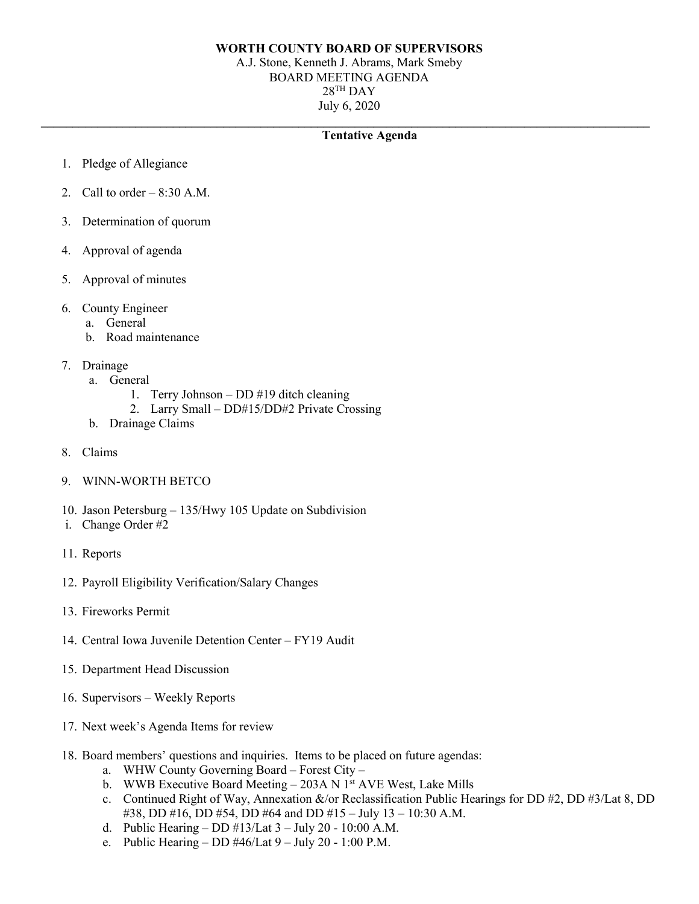## **WORTH COUNTY BOARD OF SUPERVISORS**

A.J. Stone, Kenneth J. Abrams, Mark Smeby BOARD MEETING AGENDA  $28$ <sup>TH</sup> DAY July 6, 2020

## **\_\_\_\_\_\_\_\_\_\_\_\_\_\_\_\_\_\_\_\_\_\_\_\_\_\_\_\_\_\_\_\_\_\_\_\_\_\_\_\_\_\_\_\_\_\_\_\_\_\_\_\_\_\_\_\_\_\_\_\_\_\_\_\_\_\_\_\_\_\_\_\_\_\_\_\_\_\_\_\_\_\_\_\_\_\_\_\_\_\_\_\_\_\_\_\_\_ Tentative Agenda**

- 1. Pledge of Allegiance
- 2. Call to order  $-8:30$  A.M.
- 3. Determination of quorum
- 4. Approval of agenda
- 5. Approval of minutes
- 6. County Engineer
	- a. General
	- b. Road maintenance
- 7. Drainage
	- a. General
		- 1. Terry Johnson DD #19 ditch cleaning
		- 2. Larry Small DD#15/DD#2 Private Crossing
	- b. Drainage Claims
- 8. Claims
- 9. WINN-WORTH BETCO
- 10. Jason Petersburg 135/Hwy 105 Update on Subdivision
- i. Change Order #2
- 11. Reports
- 12. Payroll Eligibility Verification/Salary Changes
- 13. Fireworks Permit
- 14. Central Iowa Juvenile Detention Center FY19 Audit
- 15. Department Head Discussion
- 16. Supervisors Weekly Reports
- 17. Next week's Agenda Items for review
- 18. Board members' questions and inquiries. Items to be placed on future agendas:
	- a. WHW County Governing Board Forest City –
	- b. WWB Executive Board Meeting 203A N 1st AVE West, Lake Mills
	- c. Continued Right of Way, Annexation &/or Reclassification Public Hearings for DD #2, DD #3/Lat 8, DD #38, DD #16, DD #54, DD #64 and DD #15 – July 13 – 10:30 A.M.
	- d. Public Hearing DD  $\#13$ /Lat  $3$  July 20 10:00 A.M.
	- e. Public Hearing DD  $\#46$ /Lat  $9$  July 20 1:00 P.M.